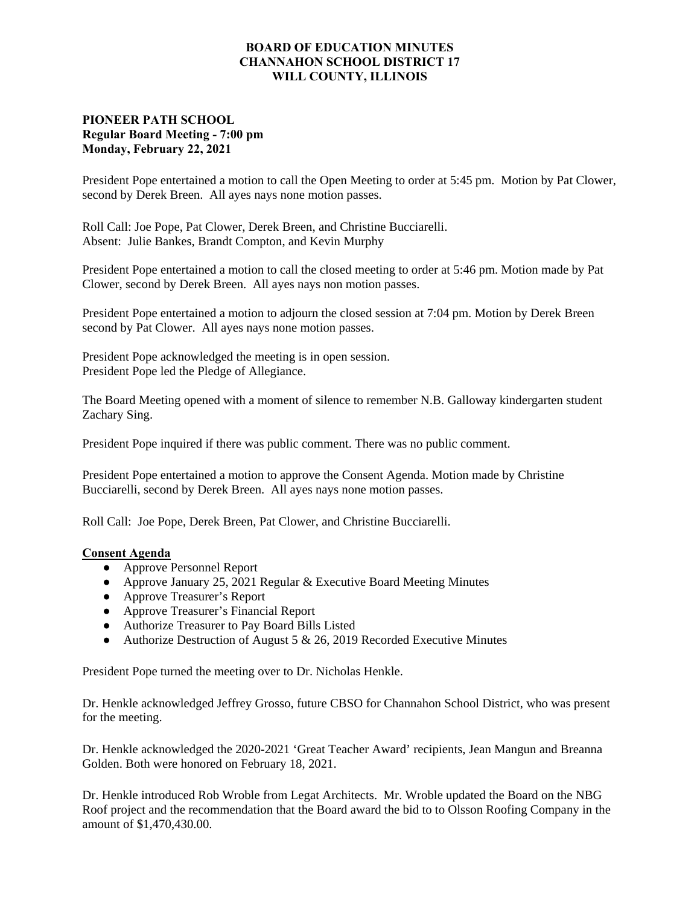## **BOARD OF EDUCATION MINUTES CHANNAHON SCHOOL DISTRICT 17 WILL COUNTY, ILLINOIS**

## **PIONEER PATH SCHOOL Regular Board Meeting - 7:00 pm Monday, February 22, 2021**

President Pope entertained a motion to call the Open Meeting to order at 5:45 pm. Motion by Pat Clower, second by Derek Breen. All ayes nays none motion passes.

Roll Call: Joe Pope, Pat Clower, Derek Breen, and Christine Bucciarelli. Absent: Julie Bankes, Brandt Compton, and Kevin Murphy

President Pope entertained a motion to call the closed meeting to order at 5:46 pm. Motion made by Pat Clower, second by Derek Breen. All ayes nays non motion passes.

President Pope entertained a motion to adjourn the closed session at 7:04 pm. Motion by Derek Breen second by Pat Clower. All ayes nays none motion passes.

President Pope acknowledged the meeting is in open session. President Pope led the Pledge of Allegiance.

The Board Meeting opened with a moment of silence to remember N.B. Galloway kindergarten student Zachary Sing.

President Pope inquired if there was public comment. There was no public comment.

President Pope entertained a motion to approve the Consent Agenda. Motion made by Christine Bucciarelli, second by Derek Breen. All ayes nays none motion passes.

Roll Call: Joe Pope, Derek Breen, Pat Clower, and Christine Bucciarelli.

## **Consent Agenda**

- **●** Approve Personnel Report
- **●** Approve January 25, 2021 Regular & Executive Board Meeting Minutes
- **●** Approve Treasurer's Report
- **●** Approve Treasurer's Financial Report
- **●** Authorize Treasurer to Pay Board Bills Listed
- **●** Authorize Destruction of August 5 & 26, 2019 Recorded Executive Minutes

President Pope turned the meeting over to Dr. Nicholas Henkle.

Dr. Henkle acknowledged Jeffrey Grosso, future CBSO for Channahon School District, who was present for the meeting.

Dr. Henkle acknowledged the 2020-2021 'Great Teacher Award' recipients, Jean Mangun and Breanna Golden. Both were honored on February 18, 2021.

Dr. Henkle introduced Rob Wroble from Legat Architects. Mr. Wroble updated the Board on the NBG Roof project and the recommendation that the Board award the bid to to Olsson Roofing Company in the amount of \$1,470,430.00.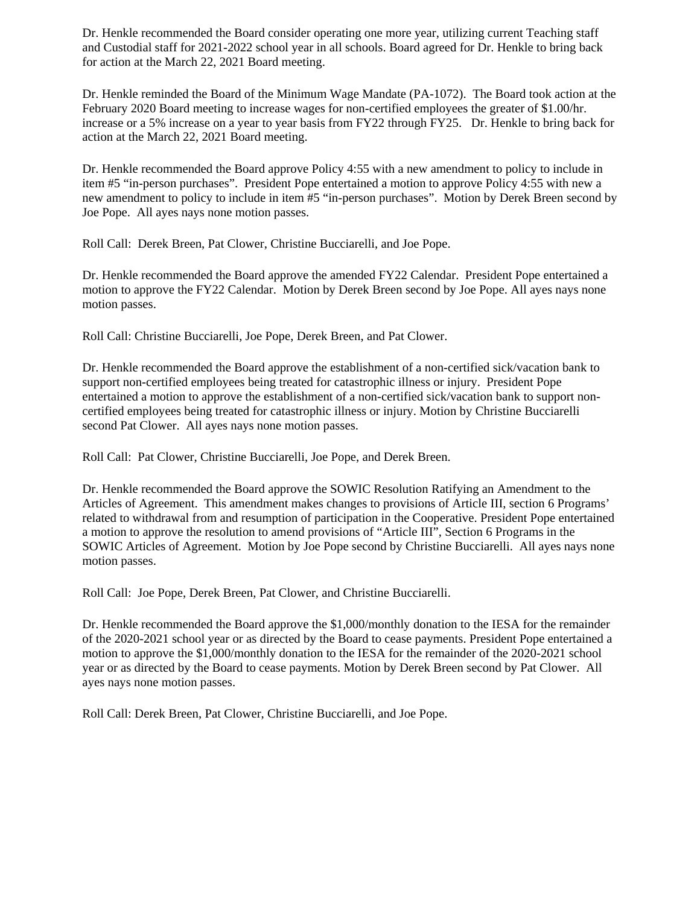Dr. Henkle recommended the Board consider operating one more year, utilizing current Teaching staff and Custodial staff for 2021-2022 school year in all schools. Board agreed for Dr. Henkle to bring back for action at the March 22, 2021 Board meeting.

Dr. Henkle reminded the Board of the Minimum Wage Mandate (PA-1072). The Board took action at the February 2020 Board meeting to increase wages for non-certified employees the greater of \$1.00/hr. increase or a 5% increase on a year to year basis from FY22 through FY25. Dr. Henkle to bring back for action at the March 22, 2021 Board meeting.

Dr. Henkle recommended the Board approve Policy 4:55 with a new amendment to policy to include in item #5 "in-person purchases". President Pope entertained a motion to approve Policy 4:55 with new a new amendment to policy to include in item #5 "in-person purchases". Motion by Derek Breen second by Joe Pope. All ayes nays none motion passes.

Roll Call: Derek Breen, Pat Clower, Christine Bucciarelli, and Joe Pope.

Dr. Henkle recommended the Board approve the amended FY22 Calendar. President Pope entertained a motion to approve the FY22 Calendar. Motion by Derek Breen second by Joe Pope. All ayes nays none motion passes.

Roll Call: Christine Bucciarelli, Joe Pope, Derek Breen, and Pat Clower.

Dr. Henkle recommended the Board approve the establishment of a non-certified sick/vacation bank to support non-certified employees being treated for catastrophic illness or injury. President Pope entertained a motion to approve the establishment of a non-certified sick/vacation bank to support noncertified employees being treated for catastrophic illness or injury. Motion by Christine Bucciarelli second Pat Clower. All ayes nays none motion passes.

Roll Call: Pat Clower, Christine Bucciarelli, Joe Pope, and Derek Breen.

Dr. Henkle recommended the Board approve the SOWIC Resolution Ratifying an Amendment to the Articles of Agreement. This amendment makes changes to provisions of Article III, section 6 Programs' related to withdrawal from and resumption of participation in the Cooperative. President Pope entertained a motion to approve the resolution to amend provisions of "Article III", Section 6 Programs in the SOWIC Articles of Agreement. Motion by Joe Pope second by Christine Bucciarelli. All ayes nays none motion passes.

Roll Call: Joe Pope, Derek Breen, Pat Clower, and Christine Bucciarelli.

Dr. Henkle recommended the Board approve the \$1,000/monthly donation to the IESA for the remainder of the 2020-2021 school year or as directed by the Board to cease payments. President Pope entertained a motion to approve the \$1,000/monthly donation to the IESA for the remainder of the 2020-2021 school year or as directed by the Board to cease payments. Motion by Derek Breen second by Pat Clower. All ayes nays none motion passes.

Roll Call: Derek Breen, Pat Clower, Christine Bucciarelli, and Joe Pope.